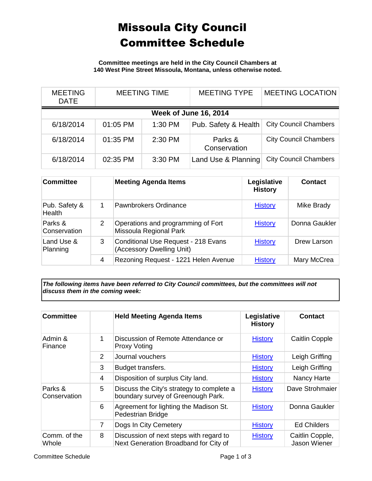## Missoula City Council Committee Schedule

**Committee meetings are held in the City Council Chambers at 140 West Pine Street Missoula, Montana, unless otherwise noted.**

| <b>MEETING</b><br><b>DATE</b> |          | <b>MEETING TIME</b> | <b>MEETING TYPE</b>     | <b>MEETING LOCATION</b>      |  |
|-------------------------------|----------|---------------------|-------------------------|------------------------------|--|
| <b>Week of June 16, 2014</b>  |          |                     |                         |                              |  |
| 6/18/2014                     | 01:05 PM | 1:30 PM             | Pub. Safety & Health    | <b>City Council Chambers</b> |  |
| 6/18/2014                     | 01:35 PM | 2:30 PM             | Parks &<br>Conservation | <b>City Council Chambers</b> |  |
| 6/18/2014                     | 02:35 PM | 3:30 PM             | Land Use & Planning     | <b>City Council Chambers</b> |  |

| <b>Committee</b>        |   | <b>Meeting Agenda Items</b>                                      | Legislative<br><b>History</b> | <b>Contact</b> |
|-------------------------|---|------------------------------------------------------------------|-------------------------------|----------------|
| Pub. Safety &<br>Health | 1 | Pawnbrokers Ordinance                                            | <b>History</b>                | Mike Brady     |
| Parks &<br>Conservation | 2 | Operations and programming of Fort<br>Missoula Regional Park     | <b>History</b>                | Donna Gaukler  |
| Land Use &<br>Planning  | 3 | Conditional Use Request - 218 Evans<br>(Accessory Dwelling Unit) | <b>History</b>                | Drew Larson    |
|                         | 4 | Rezoning Request - 1221 Helen Avenue                             | <b>History</b>                | Mary McCrea    |

*The following items have been referred to City Council committees, but the committees will not discuss them in the coming week:*

| <b>Committee</b>        |                | <b>Held Meeting Agenda Items</b>                                                 | Legislative<br><b>History</b> | <b>Contact</b>                  |
|-------------------------|----------------|----------------------------------------------------------------------------------|-------------------------------|---------------------------------|
| Admin &<br>Finance      | 1              | Discussion of Remote Attendance or<br><b>Proxy Voting</b>                        | <b>History</b>                | <b>Caitlin Copple</b>           |
|                         | 2              | Journal vouchers                                                                 | <b>History</b>                | Leigh Griffing                  |
|                         | 3              | Budget transfers.                                                                | <b>History</b>                | Leigh Griffing                  |
|                         | 4              | Disposition of surplus City land.                                                | <b>History</b>                | Nancy Harte                     |
| Parks &<br>Conservation | 5              | Discuss the City's strategy to complete a<br>boundary survey of Greenough Park.  | <b>History</b>                | Dave Strohmaier                 |
|                         | 6              | Agreement for lighting the Madison St.<br>Pedestrian Bridge                      | <b>History</b>                | Donna Gaukler                   |
|                         | $\overline{7}$ | Dogs In City Cemetery                                                            | <b>History</b>                | <b>Ed Childers</b>              |
| Comm. of the<br>Whole   | 8              | Discussion of next steps with regard to<br>Next Generation Broadband for City of | <b>History</b>                | Caitlin Copple,<br>Jason Wiener |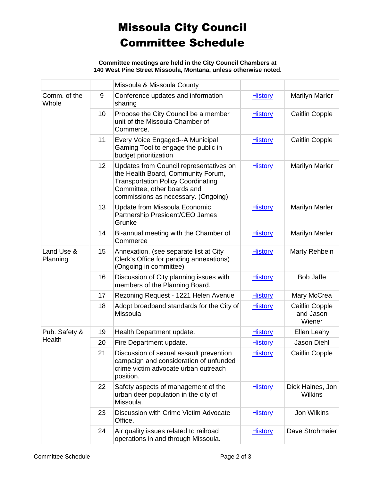## Missoula City Council Committee Schedule

**Committee meetings are held in the City Council Chambers at 140 West Pine Street Missoula, Montana, unless otherwise noted.**

|                        |    | Missoula & Missoula County                                                                                                                                                                       |                |                                              |
|------------------------|----|--------------------------------------------------------------------------------------------------------------------------------------------------------------------------------------------------|----------------|----------------------------------------------|
| Comm. of the<br>Whole  | 9  | Conference updates and information<br>sharing                                                                                                                                                    | <b>History</b> | <b>Marilyn Marler</b>                        |
|                        | 10 | Propose the City Council be a member<br>unit of the Missoula Chamber of<br>Commerce.                                                                                                             | <b>History</b> | Caitlin Copple                               |
|                        | 11 | Every Voice Engaged--A Municipal<br>Gaming Tool to engage the public in<br>budget prioritization                                                                                                 | <b>History</b> | <b>Caitlin Copple</b>                        |
|                        | 12 | Updates from Council representatives on<br>the Health Board, Community Forum,<br><b>Transportation Policy Coordinating</b><br>Committee, other boards and<br>commissions as necessary. (Ongoing) | <b>History</b> | <b>Marilyn Marler</b>                        |
|                        | 13 | Update from Missoula Economic<br>Partnership President/CEO James<br>Grunke                                                                                                                       | <b>History</b> | <b>Marilyn Marler</b>                        |
|                        | 14 | Bi-annual meeting with the Chamber of<br>Commerce                                                                                                                                                | <b>History</b> | <b>Marilyn Marler</b>                        |
| Land Use &<br>Planning | 15 | Annexation, (see separate list at City<br>Clerk's Office for pending annexations)<br>(Ongoing in committee)                                                                                      | <b>History</b> | Marty Rehbein                                |
|                        | 16 | Discussion of City planning issues with<br>members of the Planning Board.                                                                                                                        | <b>History</b> | <b>Bob Jaffe</b>                             |
|                        | 17 | Rezoning Request - 1221 Helen Avenue                                                                                                                                                             | <b>History</b> | Mary McCrea                                  |
|                        | 18 | Adopt broadband standards for the City of<br>Missoula                                                                                                                                            | <b>History</b> | <b>Caitlin Copple</b><br>and Jason<br>Wiener |
| Pub. Safety &          | 19 | Health Department update.                                                                                                                                                                        | <b>History</b> | Ellen Leahy                                  |
| Health                 | 20 | Fire Department update.                                                                                                                                                                          | <b>History</b> | <b>Jason Diehl</b>                           |
|                        | 21 | Discussion of sexual assault prevention<br>campaign and consideration of unfunded<br>crime victim advocate urban outreach<br>position.                                                           | <b>History</b> | Caitlin Copple                               |
|                        | 22 | Safety aspects of management of the<br>urban deer population in the city of<br>Missoula.                                                                                                         | <b>History</b> | Dick Haines, Jon<br>Wilkins                  |
|                        | 23 | Discussion with Crime Victim Advocate<br>Office.                                                                                                                                                 | <b>History</b> | Jon Wilkins                                  |
|                        | 24 | Air quality issues related to railroad<br>operations in and through Missoula.                                                                                                                    | <b>History</b> | Dave Strohmaier                              |